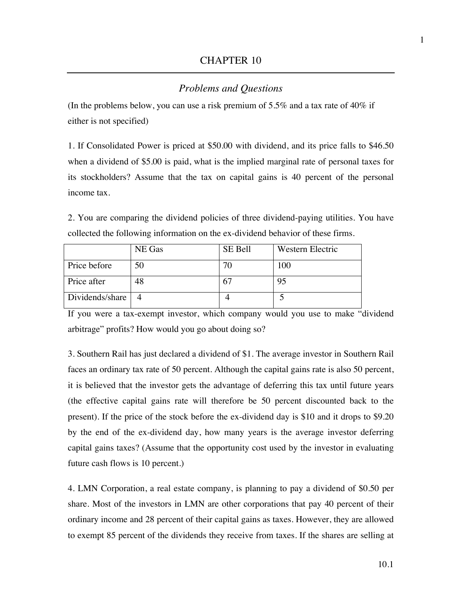## *Problems and Questions*

(In the problems below, you can use a risk premium of 5.5% and a tax rate of 40% if either is not specified)

1. If Consolidated Power is priced at \$50.00 with dividend, and its price falls to \$46.50 when a dividend of \$5.00 is paid, what is the implied marginal rate of personal taxes for its stockholders? Assume that the tax on capital gains is 40 percent of the personal income tax.

2. You are comparing the dividend policies of three dividend-paying utilities. You have collected the following information on the ex-dividend behavior of these firms.

|                 | NE Gas | SE Bell | Western Electric |
|-----------------|--------|---------|------------------|
| Price before    | 50     | 70      | 100              |
| Price after     | 48     |         | 95               |
| Dividends/share |        |         |                  |

If you were a tax-exempt investor, which company would you use to make "dividend arbitrage" profits? How would you go about doing so?

3. Southern Rail has just declared a dividend of \$1. The average investor in Southern Rail faces an ordinary tax rate of 50 percent. Although the capital gains rate is also 50 percent, it is believed that the investor gets the advantage of deferring this tax until future years (the effective capital gains rate will therefore be 50 percent discounted back to the present). If the price of the stock before the ex-dividend day is \$10 and it drops to \$9.20 by the end of the ex-dividend day, how many years is the average investor deferring capital gains taxes? (Assume that the opportunity cost used by the investor in evaluating future cash flows is 10 percent.)

4. LMN Corporation, a real estate company, is planning to pay a dividend of \$0.50 per share. Most of the investors in LMN are other corporations that pay 40 percent of their ordinary income and 28 percent of their capital gains as taxes. However, they are allowed to exempt 85 percent of the dividends they receive from taxes. If the shares are selling at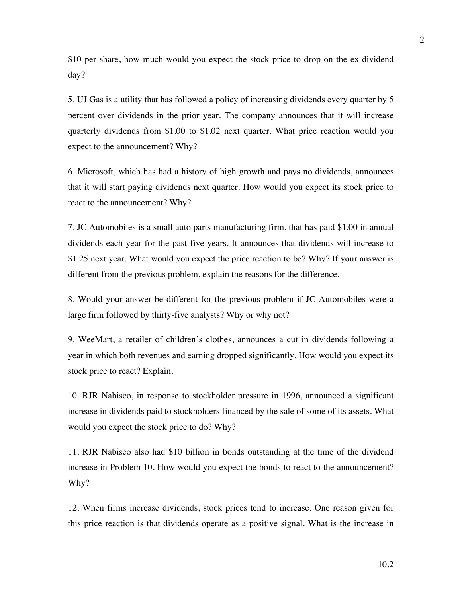\$10 per share, how much would you expect the stock price to drop on the ex-dividend day?

5. UJ Gas is a utility that has followed a policy of increasing dividends every quarter by 5 percent over dividends in the prior year. The company announces that it will increase quarterly dividends from \$1.00 to \$1.02 next quarter. What price reaction would you expect to the announcement? Why?

6. Microsoft, which has had a history of high growth and pays no dividends, announces that it will start paying dividends next quarter. How would you expect its stock price to react to the announcement? Why?

7. JC Automobiles is a small auto parts manufacturing firm, that has paid \$1.00 in annual dividends each year for the past five years. It announces that dividends will increase to \$1.25 next year. What would you expect the price reaction to be? Why? If your answer is different from the previous problem, explain the reasons for the difference.

8. Would your answer be different for the previous problem if JC Automobiles were a large firm followed by thirty-five analysts? Why or why not?

9. WeeMart, a retailer of children's clothes, announces a cut in dividends following a year in which both revenues and earning dropped significantly. How would you expect its stock price to react? Explain.

10. RJR Nabisco, in response to stockholder pressure in 1996, announced a significant increase in dividends paid to stockholders financed by the sale of some of its assets. What would you expect the stock price to do? Why?

11. RJR Nabisco also had \$10 billion in bonds outstanding at the time of the dividend increase in Problem 10. How would you expect the bonds to react to the announcement? Why?

12. When firms increase dividends, stock prices tend to increase. One reason given for this price reaction is that dividends operate as a positive signal. What is the increase in